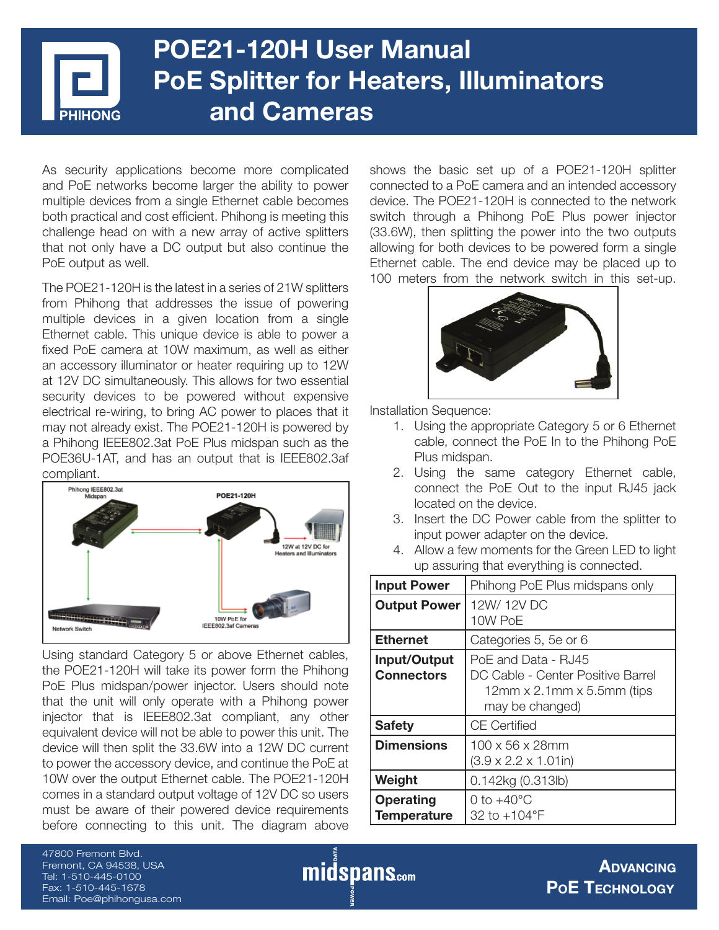# **POE21-120H User Manual PoE Splitter for Heaters, Illuminators and Cameras**

As security applications become more complicated and PoE networks become larger the ability to power multiple devices from a single Ethernet cable becomes both practical and cost efficient. Phihong is meeting this challenge head on with a new array of active splitters that not only have a DC output but also continue the PoE output as well.

The POE21-120H is the latest in a series of 21W splitters from Phihong that addresses the issue of powering multiple devices in a given location from a single Ethernet cable. This unique device is able to power a fixed PoE camera at 10W maximum, as well as either an accessory illuminator or heater requiring up to 12W at 12V DC simultaneously. This allows for two essential security devices to be powered without expensive electrical re-wiring, to bring AC power to places that it may not already exist. The POE21-120H is powered by a Phihong IEEE802.3at PoE Plus midspan such as the POE36U-1AT, and has an output that is IEEE802.3af



Using standard Category 5 or above Ethernet cables, the POE21-120H will take its power form the Phihong PoE Plus midspan/power injector. Users should note that the unit will only operate with a Phihong power injector that is IEEE802.3at compliant, any other equivalent device will not be able to power this unit. The device will then split the 33.6W into a 12W DC current to power the accessory device, and continue the PoE at 10W over the output Ethernet cable. The POE21-120H comes in a standard output voltage of 12V DC so users must be aware of their powered device requirements before connecting to this unit. The diagram above

shows the basic set up of a POE21-120H splitter connected to a PoE camera and an intended accessory device. The POE21-120H is connected to the network switch through a Phihong PoE Plus power injector (33.6W), then splitting the power into the two outputs allowing for both devices to be powered form a single Ethernet cable. The end device may be placed up to 100 meters from the network switch in this set-up.



Installation Sequence:

- 1. Using the appropriate Category 5 or 6 Ethernet cable, connect the PoE In to the Phihong PoE Plus midspan.
- 2. Using the same category Ethernet cable, connect the PoE Out to the input RJ45 jack located on the device.
- 3. Insert the DC Power cable from the splitter to input power adapter on the device.
- 4. Allow a few moments for the Green LED to light up assuring that everything is connected.

| <b>Input Power</b>                     | Phihong PoE Plus midspans only                                                                                     |
|----------------------------------------|--------------------------------------------------------------------------------------------------------------------|
| <b>Output Power</b>                    | 12W/12VDC<br>10W PoE                                                                                               |
| <b>Ethernet</b>                        | Categories 5, 5e or 6                                                                                              |
| Input/Output<br><b>Connectors</b>      | PoE and Data - RJ45<br>DC Cable - Center Positive Barrel<br>$12$ mm x $2.1$ mm x $5.5$ mm (tips<br>may be changed) |
| <b>Safety</b>                          | <b>CE Certified</b>                                                                                                |
| <b>Dimensions</b>                      | $100 \times 56 \times 28$ mm<br>$(3.9 \times 2.2 \times 1.01)$ in)                                                 |
| Weight                                 | 0.142kg (0.313lb)                                                                                                  |
| <b>Operating</b><br><b>Temperature</b> | 0 to $+40^{\circ}$ C<br>32 to +104°F                                                                               |

47800 Fremont Blvd. Fremont, CA 94538, USA Tel: 1-510-445-0100 Fax: 1-510-445-1678 Email: Poe@phihongusa.com